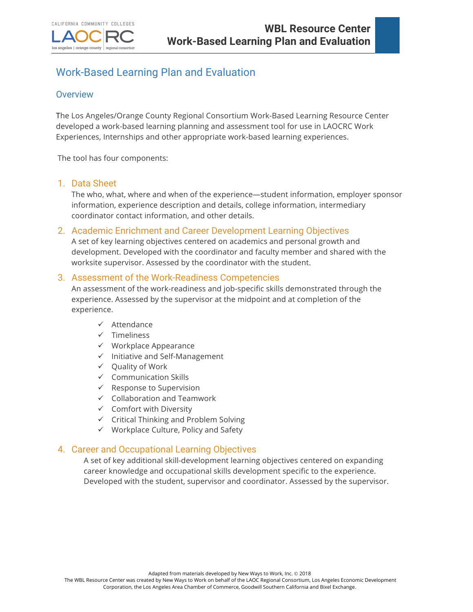

# Work-Based Learning Plan and Evaluation

## **Overview**

los angeles | orange county

The Los Angeles/Orange County Regional Consortium Work-Based Learning Resource Center developed a work-based learning planning and assessment tool for use in LAOCRC Work Experiences, Internships and other appropriate work-based learning experiences.

The tool has four components:

regional consortium

### 1. Data Sheet

The who, what, where and when of the experience—student information, employer sponsor information, experience description and details, college information, intermediary coordinator contact information, and other details.

### 2. Academic Enrichment and Career Development Learning Objectives

A set of key learning objectives centered on academics and personal growth and development. Developed with the coordinator and faculty member and shared with the worksite supervisor. Assessed by the coordinator with the student.

### 3. Assessment of the Work-Readiness Competencies

An assessment of the work-readiness and job-specific skills demonstrated through the experience. Assessed by the supervisor at the midpoint and at completion of the experience.

- $\checkmark$  Attendance
- $\checkmark$  Timeliness
- $\checkmark$  Workplace Appearance
- $\checkmark$  Initiative and Self-Management
- $\checkmark$  Quality of Work
- $\checkmark$  Communication Skills
- $\checkmark$  Response to Supervision
- $\checkmark$  Collaboration and Teamwork
- $\checkmark$  Comfort with Diversity
- $\checkmark$  Critical Thinking and Problem Solving
- $\checkmark$  Workplace Culture, Policy and Safety

### 4. Career and Occupational Learning Objectives

A set of key additional skill-development learning objectives centered on expanding career knowledge and occupational skills development specific to the experience. Developed with the student, supervisor and coordinator. Assessed by the supervisor.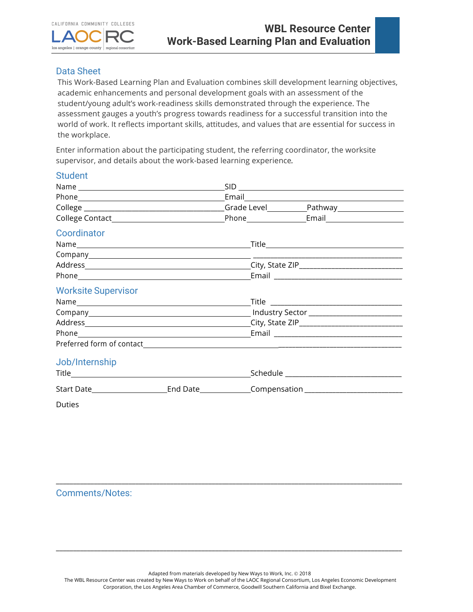

## Data Sheet

This Work-Based Learning Plan and Evaluation combines skill development learning objectives, academic enhancements and personal development goals with an assessment of the student/young adult's work-readiness skills demonstrated through the experience. The assessment gauges a youth's progress towards readiness for a successful transition into the world of work. It reflects important skills, attitudes, and values that are essential for success in the workplace.

Enter information about the participating student, the referring coordinator, the worksite supervisor, and details about the work-based learning experience*.*

### **Student**

| Coordinator                                                                                          |  |  |
|------------------------------------------------------------------------------------------------------|--|--|
|                                                                                                      |  |  |
|                                                                                                      |  |  |
|                                                                                                      |  |  |
|                                                                                                      |  |  |
| <b>Worksite Supervisor</b>                                                                           |  |  |
|                                                                                                      |  |  |
|                                                                                                      |  |  |
|                                                                                                      |  |  |
|                                                                                                      |  |  |
|                                                                                                      |  |  |
| Job/Internship                                                                                       |  |  |
|                                                                                                      |  |  |
| Start Date_________________________End Date_______________Compensation______________________________ |  |  |
| Duties                                                                                               |  |  |

Comments/Notes:

Adapted from materials developed by New Ways to Work, Inc. @ 2018

The WBL Resource Center was created by New Ways to Work on behalf of the LAOC Regional Consortium, Los Angeles Economic Development Corporation, the Los Angeles Area Chamber of Commerce, Goodwill Southern California and Bixel Exchange.

\_\_\_\_\_\_\_\_\_\_\_\_\_\_\_\_\_\_\_\_\_\_\_\_\_\_\_\_\_\_\_\_\_\_\_\_\_\_\_\_\_\_\_\_\_\_\_\_\_\_\_\_\_\_\_\_\_\_\_\_\_\_\_\_\_\_\_\_\_\_\_\_\_\_\_\_\_\_\_\_\_\_\_\_\_\_\_\_\_\_\_\_\_\_\_\_\_\_\_\_

\_\_\_\_\_\_\_\_\_\_\_\_\_\_\_\_\_\_\_\_\_\_\_\_\_\_\_\_\_\_\_\_\_\_\_\_\_\_\_\_\_\_\_\_\_\_\_\_\_\_\_\_\_\_\_\_\_\_\_\_\_\_\_\_\_\_\_\_\_\_\_\_\_\_\_\_\_\_\_\_\_\_\_\_\_\_\_\_\_\_\_\_\_\_\_\_\_\_\_\_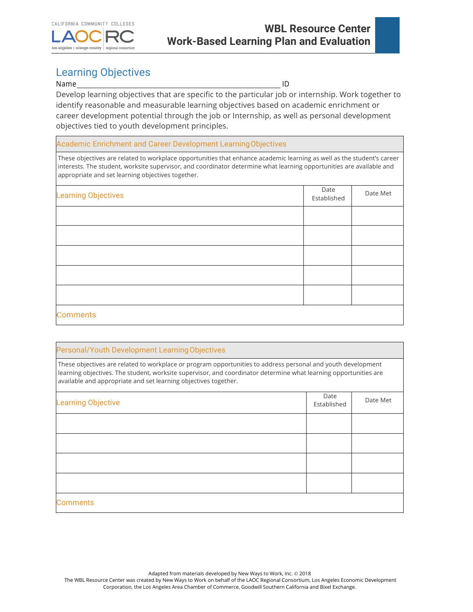

# Learning Objectives

#### Name ID

Develop learning objectives that are specific to the particular job or internship. Work together to identify reasonable and measurable learning objectives based on academic enrichment or career development potential through the job or Internship, as well as personal development objectives tied to youth development principles.

Academic Enrichment and Career Development LearningObjectives

These objectives are related to workplace opportunities that enhance academic learning as well as the student's career interests. The student, worksite supervisor, and coordinator determine what learning opportunities are available and appropriate and set learning objectives together.

| <b>Learning Objectives</b> | Date<br>Established | Date Met |
|----------------------------|---------------------|----------|
|                            |                     |          |
|                            |                     |          |
|                            |                     |          |
|                            |                     |          |
|                            |                     |          |
| <b>Comments</b>            |                     |          |

#### Personal/Youth Development LearningObjectives

These objectives are related to workplace or program opportunities to address personal and youth development learning objectives. The student, worksite supervisor, and coordinator determine what learning opportunities are available and appropriate and set learning objectives together.

| <b>Learning Objective</b> | Date<br>Established | Date Met |
|---------------------------|---------------------|----------|
|                           |                     |          |
|                           |                     |          |
|                           |                     |          |
|                           |                     |          |
| <b>Comments</b>           |                     |          |

Adapted from materials developed by New Ways to Work, Inc. @ 2018

The WBL Resource Center was created by New Ways to Work on behalf of the LAOC Regional Consortium, Los Angeles Economic Development Corporation, the Los Angeles Area Chamber of Commerce, Goodwill Southern California and Bixel Exchange.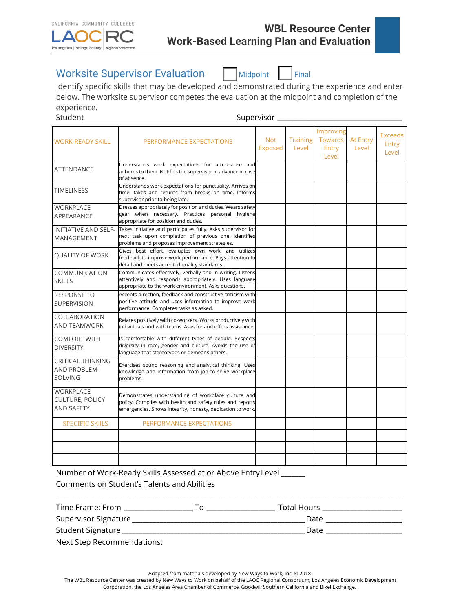

# Worksite Supervisor Evaluation Midpoint Final



Identify specific skills that may be developed and demonstrated during the experience and enter below. The worksite supervisor competes the evaluation at the midpoint and completion of the experience.

| Student                                                           |                                                                                                                                                                                | _Supervisor _                |                          |                                        |                   |                                  |
|-------------------------------------------------------------------|--------------------------------------------------------------------------------------------------------------------------------------------------------------------------------|------------------------------|--------------------------|----------------------------------------|-------------------|----------------------------------|
| <b>WORK-READY SKILL</b>                                           | PERFORMANCE EXPECTATIONS                                                                                                                                                       | <b>Not</b><br><b>Exposed</b> | <b>Training</b><br>Level | Improving<br>Towards<br>Entry<br>Level | At Entry<br>Level | <b>Exceeds</b><br>Entry<br>Level |
| <b>ATTENDANCE</b>                                                 | Understands work expectations for attendance and<br>adheres to them. Notifies the supervisor in advance in case<br>of absence.                                                 |                              |                          |                                        |                   |                                  |
| <b>TIMELINESS</b>                                                 | Understands work expectations for punctuality. Arrives on<br>time, takes and returns from breaks on time. Informs<br>supervisor prior to being late.                           |                              |                          |                                        |                   |                                  |
| <b>WORKPLACE</b><br>APPEARANCE                                    | Dresses appropriately for position and duties. Wears safety<br>gear when necessary. Practices personal hygiene<br>appropriate for position and duties.                         |                              |                          |                                        |                   |                                  |
| <b>INITIATIVE AND SELF-</b><br>MANAGEMENT                         | Takes initiative and participates fully. Asks supervisor for<br>next task upon completion of previous one. Identifies<br>problems and proposes improvement strategies.         |                              |                          |                                        |                   |                                  |
| <b>QUALITY OF WORK</b>                                            | Gives best effort, evaluates own work, and utilizes<br>feedback to improve work performance. Pays attention to<br>detail and meets accepted quality standards.                 |                              |                          |                                        |                   |                                  |
| COMMUNICATION<br><b>SKILLS</b>                                    | Communicates effectively, verbally and in writing. Listens<br>attentively and responds appropriately. Uses language<br>appropriate to the work environment. Asks questions.    |                              |                          |                                        |                   |                                  |
| <b>RESPONSE TO</b><br>SUPERVISION                                 | Accepts direction, feedback and constructive criticism with<br>positive attitude and uses information to improve work<br>performance. Completes tasks as asked.                |                              |                          |                                        |                   |                                  |
| <b>COLLABORATION</b><br>AND TEAMWORK                              | Relates positively with co-workers. Works productively with<br>individuals and with teams. Asks for and offers assistance                                                      |                              |                          |                                        |                   |                                  |
| <b>COMFORT WITH</b><br><b>DIVERSITY</b>                           | Is comfortable with different types of people. Respects<br>diversity in race, gender and culture. Avoids the use of<br>language that stereotypes or demeans others.            |                              |                          |                                        |                   |                                  |
| <b>CRITICAL THINKING</b><br><b>AND PROBLEM-</b><br><b>SOLVING</b> | Exercises sound reasoning and analytical thinking. Uses<br>knowledge and information from job to solve workplace<br>problems.                                                  |                              |                          |                                        |                   |                                  |
| <b>WORKPLACE</b><br><b>CULTURE, POLICY</b><br><b>AND SAFETY</b>   | Demonstrates understanding of workplace culture and<br>policy. Complies with health and safety rules and reports<br>emergencies. Shows integrity, honesty, dedication to work. |                              |                          |                                        |                   |                                  |
| <b>SPECIFIC SKIILS</b>                                            | PERFORMANCE EXPECTATIONS                                                                                                                                                       |                              |                          |                                        |                   |                                  |
|                                                                   |                                                                                                                                                                                |                              |                          |                                        |                   |                                  |
|                                                                   |                                                                                                                                                                                |                              |                          |                                        |                   |                                  |

Number of Work-Ready Skills Assessed at or Above Entry Level \_\_\_\_\_\_\_ Comments on Student's Talents andAbilities

| Time Frame: From             | Total Hours |
|------------------------------|-------------|
| Supervisor Signature         | Date        |
| Student Signature            | Date        |
| Nout Chan Desampengelations: |             |

\_\_\_\_\_\_\_\_\_\_\_\_\_\_\_\_\_\_\_\_\_\_\_\_\_\_\_\_\_\_\_\_\_\_\_\_\_\_\_\_\_\_\_\_\_\_\_\_\_\_\_\_\_\_\_\_\_\_\_\_\_\_\_\_\_\_\_\_\_\_\_\_\_\_\_\_\_\_\_\_\_\_\_\_\_\_\_\_\_\_\_\_\_\_\_\_\_\_\_\_

Next Step Recommendations:

Adapted from materials developed by New Ways to Work, Inc. @ 2018